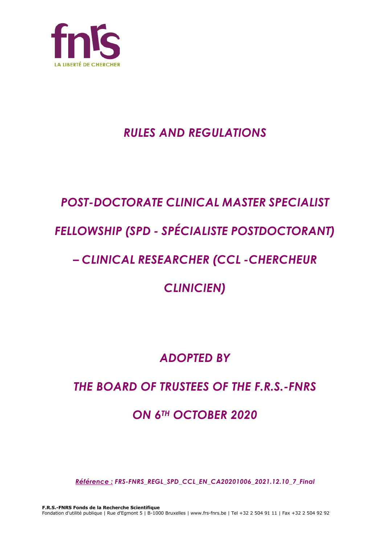

## *RULES AND REGULATIONS*

# *POST-DOCTORATE CLINICAL MASTER SPECIALIST FELLOWSHIP (SPD - SPÉCIALISTE POSTDOCTORANT)*

## *– CLINICAL RESEARCHER (CCL -CHERCHEUR*

## *CLINICIEN)*

## *ADOPTED BY*

## *THE BOARD OF TRUSTEES OF THE F.R.S.-FNRS*

## *ON 6TH OCTOBER 2020*

*Référence : FRS-FNRS\_REGL\_SPD\_CCL\_EN\_CA20201006\_2021.12.10\_7\_Final*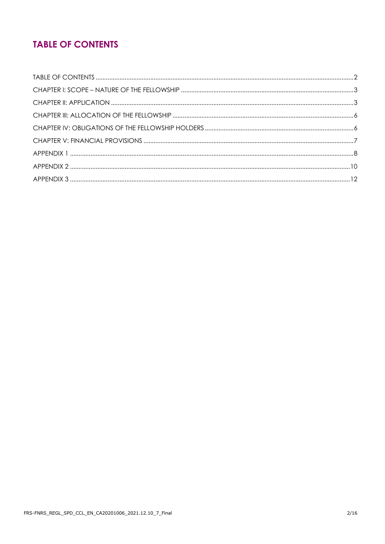## **TABLE OF CONTENTS**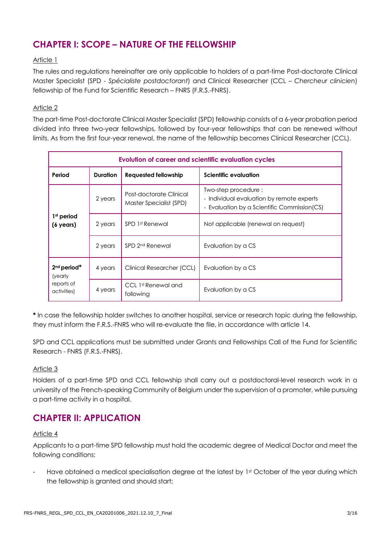### **CHAPTER I: SCOPE – NATURE OF THE FELLOWSHIP**

#### Article 1

The rules and regulations hereinafter are only applicable to holders of a part-time Post-doctorate Clinical Master Specialist (SPD - *Spécialiste postdoctorant*) and Clinical Researcher (CCL – *Chercheur clinicien*) fellowship of the Fund for Scientific Research – FNRS (F.R.S.-FNRS).

#### Article 2

The part-time Post-doctorate Clinical Master Specialist (SPD) fellowship consists of a 6-year probation period divided into three two-year fellowships, followed by four-year fellowships that can be renewed without limits. As from the first four-year renewal, the name of the fellowship becomes Clinical Researcher (CCL).

| <b>Evolution of career and scientific evaluation cycles</b> |                 |                                                    |                                                                                                                 |  |
|-------------------------------------------------------------|-----------------|----------------------------------------------------|-----------------------------------------------------------------------------------------------------------------|--|
| Period                                                      | <b>Duration</b> | Requested fellowship                               | <b>Scientific evaluation</b>                                                                                    |  |
| 1 <sup>st</sup> period<br>(6 years)                         | 2 years         | Post-doctorate Clinical<br>Master Specialist (SPD) | Two-step procedure:<br>- Individual evaluation by remote experts<br>- Evaluation by a Scientific Commission(CS) |  |
|                                                             | 2 years         | SPD 1st Renewal                                    | Not applicable (renewal on request)                                                                             |  |
|                                                             | 2 years         | SPD 2 <sup>nd</sup> Renewal                        | Evaluation by a CS                                                                                              |  |
| $2nd$ period*<br>(yearly<br>reports of<br>activities)       | 4 years         | Clinical Researcher (CCL)                          | Evaluation by a CS                                                                                              |  |
|                                                             | 4 years         | CCL 1st Renewal and<br>following                   | Evaluation by a CS                                                                                              |  |

**\*** In case the fellowship holder switches to another hospital, service or research topic during the fellowship, they must inform the F.R.S.-FNRS who will re-evaluate the file, in accordance with article 14.

SPD and CCL applications must be submitted under Grants and Fellowships Call of the Fund for Scientific Research - FNRS (F.R.S.-FNRS).

#### Article 3

Holders of a part-time SPD and CCL fellowship shall carry out a postdoctoral-level research work in a university of the French-speaking Community of Belgium under the supervision of a promoter, while pursuing a part-time activity in a hospital.

#### **CHAPTER II: APPLICATION**

#### Article 4

Applicants to a part-time SPD fellowship must hold the academic degree of Medical Doctor and meet the following conditions:

Have obtained a medical specialisation degree at the latest by 1st October of the year during which the fellowship is granted and should start;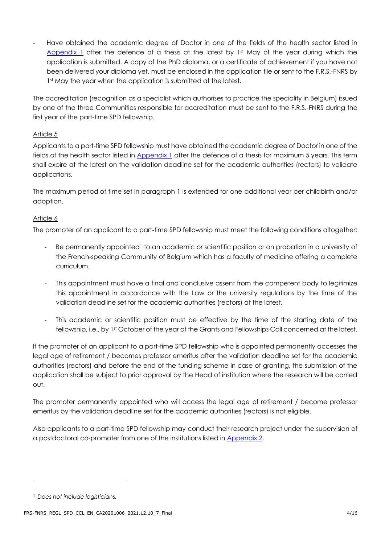- Have obtained the academic degree of Doctor in one of the fields of the health sector listed in [Appendix 1](#page-7-0) after the defence of a thesis at the latest by  $1<sup>st</sup>$  May of the year during which the application is submitted. A copy of the PhD diploma, or a certificate of achievement if you have not been delivered your diploma yet, must be enclosed in the application file or sent to the F.R.S.-FNRS by 1st May the year when the application is submitted at the latest.

The accreditation (recognition as a specialist which authorises to practice the speciality in Belgium) issued by one of the three Communities responsible for accreditation must be sent to the F.R.S.-FNRS during the first year of the part-time SPD fellowship.

#### Article 5

Applicants to a part-time SPD fellowship must have obtained the academic degree of Doctor in one of the fields of the health sector listed in [Appendix 1](#page-7-0) after the defence of a thesis for maximum 5 years. This term shall expire at the latest on the validation deadline set for the academic authorities (rectors) to validate applications.

The maximum period of time set in paragraph 1 is extended for one additional year per childbirth and/or adoption.

#### Article 6

The promoter of an applicant to a part-time SPD fellowship must meet the following conditions altogether:

- Be permanently appointed<sup>1</sup> to an academic or scientific position or on probation in a university of the French-speaking Community of Belgium which has a faculty of medicine offering a complete curriculum.
- This appointment must have a final and conclusive assent from the competent body to legitimize this appointment in accordance with the Law or the university regulations by the time of the validation deadline set for the academic authorities (rectors) at the latest.
- This academic or scientific position must be effective by the time of the starting date of the fellowship, i.e., by 1st October of the year of the Grants and Fellowships Call concerned at the latest.

If the promoter of an applicant to a part-time SPD fellowship who is appointed permanently accesses the legal age of retirement / becomes professor emeritus after the validation deadline set for the academic authorities (rectors) and before the end of the funding scheme in case of granting, the submission of the application shall be subject to prior approval by the Head of institution where the research will be carried out.

The promoter permanently appointed who will access the legal age of retirement / become professor emeritus by the validation deadline set for the academic authorities (rectors) is not eligible.

Also applicants to a part-time SPD fellowship may conduct their research project under the supervision of a postdoctoral co-promoter from one of the institutions listed in [Appendix 2.](#page-9-0)

<sup>1</sup> *Does not include logisticians.*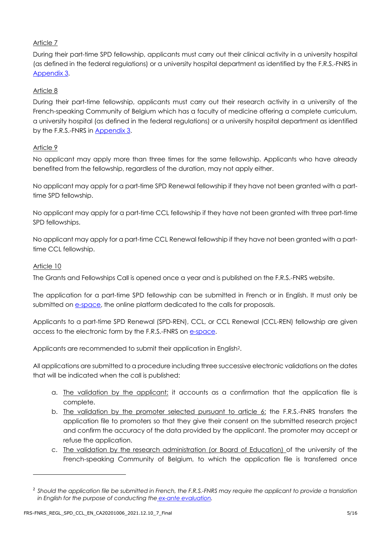#### Article 7

During their part-time SPD fellowship, applicants must carry out their clinical activity in a university hospital (as defined in the federal regulations) or a university hospital department as identified by the F.R.S.-FNRS in [Appendix](#page-11-0) 3.

#### Article 8

During their part-time fellowship, applicants must carry out their research activity in a university of the French-speaking Community of Belgium which has a faculty of medicine offering a complete curriculum, a university hospital (as defined in the federal regulations) or a university hospital department as identified by the F.R.S.-FNRS in [Appendix 3.](#page-11-0)

#### Article 9

No applicant may apply more than three times for the same fellowship. Applicants who have already benefited from the fellowship, regardless of the duration, may not apply either.

No applicant may apply for a part-time SPD Renewal fellowship if they have not been granted with a parttime SPD fellowship.

No applicant may apply for a part-time CCL fellowship if they have not been granted with three part-time SPD fellowships.

No applicant may apply for a part-time CCL Renewal fellowship if they have not been granted with a parttime CCL fellowship.

#### Article 10

The Grants and Fellowships Call is opened once a year and is published on the F.R.S.-FNRS website.

The application for a part-time SPD fellowship can be submitted in French or in English. It must only be submitted on [e-space,](https://e-space.frs-fnrs.be/) the online platform dedicated to the calls for proposals.

Applicants to a part-time SPD Renewal (SPD-REN), CCL, or CCL Renewal (CCL-REN) fellowship are given access to the electronic form by the F.R.S.-FNRS on [e-space.](https://e-space.frs-fnrs.be/)

Applicants are recommended to submit their application in English2.

All applications are submitted to a procedure including three successive electronic validations on the dates that will be indicated when the call is published:

- a. The validation by the applicant: it accounts as a confirmation that the application file is complete.
- b. The validation by the promoter selected pursuant to article 6: the F.R.S.-FNRS transfers the application file to promoters so that they give their consent on the submitted research project and confirm the accuracy of the data provided by the applicant. The promoter may accept or refuse the application.
- c. The validation by the research administration (or Board of Education) of the university of the French-speaking Community of Belgium, to which the application file is transferred once

<sup>2</sup> *Should the application file be submitted in French, the F.R.S.-FNRS may require the applicant to provide a translation in English for the purpose of conducting the [ex-ante evaluation.](https://www.frs-fnrs.be/docs/Reglement-et-documents/FRS-FNRS_Guide_Evaluation_EN.pdf)*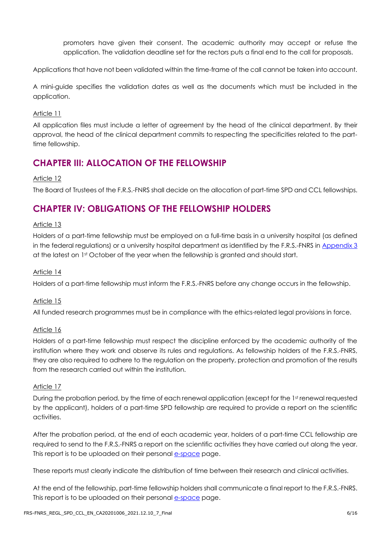promoters have given their consent. The academic authority may accept or refuse the application. The validation deadline set for the rectors puts a final end to the call for proposals.

Applications that have not been validated within the time-frame of the call cannot be taken into account.

A mini-guide specifies the validation dates as well as the documents which must be included in the application.

#### Article 11

All application files must include a letter of agreement by the head of the clinical department. By their approval, the head of the clinical department commits to respecting the specificities related to the parttime fellowship.

### **CHAPTER III: ALLOCATION OF THE FELLOWSHIP**

#### Article 12

The Board of Trustees of the F.R.S.-FNRS shall decide on the allocation of part-time SPD and CCL fellowships.

### **CHAPTER IV: OBLIGATIONS OF THE FELLOWSHIP HOLDERS**

#### Article 13

Holders of a part-time fellowship must be employed on a full-time basis in a university hospital (as defined in the federal regulations) or a university hospital department as identified by the F.R.S.-FNRS in [Appendix 3](#page-11-0) at the latest on 1st October of the year when the fellowship is granted and should start.

#### Article 14

Holders of a part-time fellowship must inform the F.R.S.-FNRS before any change occurs in the fellowship.

#### Article 15

All funded research programmes must be in compliance with the ethics-related legal provisions in force.

#### Article 16

Holders of a part-time fellowship must respect the discipline enforced by the academic authority of the institution where they work and observe its rules and regulations. As fellowship holders of the F.R.S.-FNRS, they are also required to adhere to the regulation on the property, protection and promotion of the results from the research carried out within the institution.

#### Article 17

During the probation period, by the time of each renewal application (except for the 1st renewal requested by the applicant), holders of a part-time SPD fellowship are required to provide a report on the scientific activities.

After the probation period, at the end of each academic year, holders of a part-time CCL fellowship are required to send to the F.R.S.-FNRS a report on the scientific activities they have carried out along the year. This report is to be uploaded on their personal e[-space](https://e-space.frs-fnrs.be/) page.

These reports must clearly indicate the distribution of time between their research and clinical activities.

At the end of the fellowship, part-time fellowship holders shall communicate a final report to the F.R.S.-FNRS. This report is to be uploaded on their personal e[-space](https://e-space.frs-fnrs.be/) page.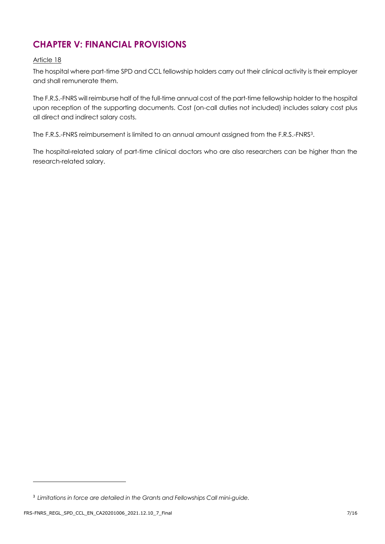## **CHAPTER V: FINANCIAL PROVISIONS**

#### Article 18

The hospital where part-time SPD and CCL fellowship holders carry out their clinical activity is their employer and shall remunerate them.

The F.R.S.-FNRS will reimburse half of the full-time annual cost of the part-time fellowship holder to the hospital upon reception of the supporting documents. Cost (on-call duties not included) includes salary cost plus all direct and indirect salary costs.

The F.R.S.-FNRS reimbursement is limited to an annual amount assigned from the F.R.S.-FNRS3.

The hospital-related salary of part-time clinical doctors who are also researchers can be higher than the research-related salary.

<sup>3</sup> *Limitations in force are detailed in the Grants and Fellowships Call mini-guide.*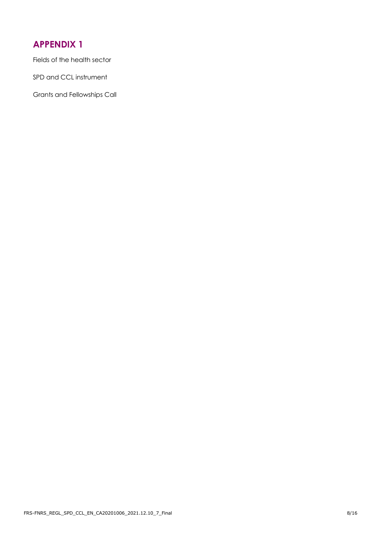## <span id="page-7-0"></span>**APPENDIX 1**

Fields of the health sector

SPD and CCL instrument

Grants and Fellowships Call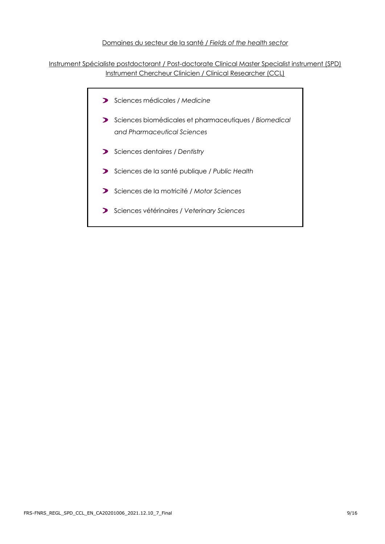#### Domaines du secteur de la santé / *Fields of the health sector*

Instrument Spécialiste postdoctorant / Post-doctorate Clinical Master Specialist instrument (SPD) Instrument Chercheur Clinicien / Clinical Researcher (CCL)

- Sciences médicales */ Medicine*
- Sciences biomédicales et pharmaceutiques */ Biomedical and Pharmaceutical Sciences*
- Sciences dentaires / *Dentistry*
- Sciences de la santé publique / *Public Health*
- Sciences de la motricité / *Motor Sciences*
- Sciences vétérinaires / *Veterinary Sciences*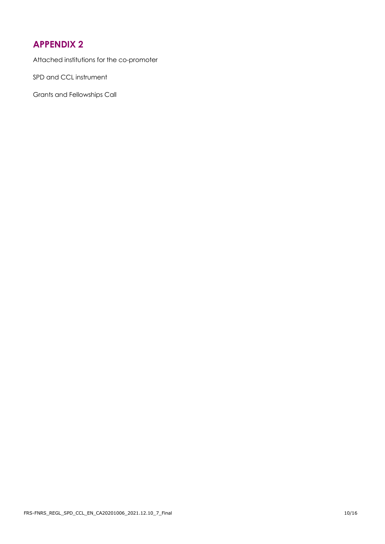## <span id="page-9-0"></span>**APPENDIX 2**

Attached institutions for the co-promoter

SPD and CCL instrument

Grants and Fellowships Call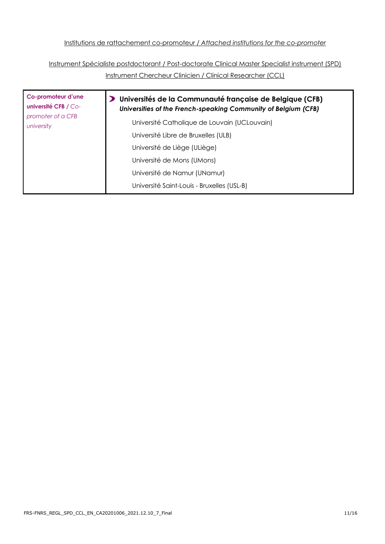Institutions de rattachement co-promoteur / *Attached institutions for the co-promoter*

Instrument Spécialiste postdoctorant / Post-doctorate Clinical Master Specialist instrument (SPD) Instrument Chercheur Clinicien / Clinical Researcher (CCL)

| Co-promoteur d'une<br><b>université CFB / Co-</b> | Universités de la Communauté française de Belgique (CFB)<br>Universities of the French-speaking Community of Belgium (CFB) |
|---------------------------------------------------|----------------------------------------------------------------------------------------------------------------------------|
| promoter of a CFB<br>university                   | Université Catholique de Louvain (UCLouvain)                                                                               |
|                                                   | Université Libre de Bruxelles (ULB)                                                                                        |
|                                                   | Université de Liège (ULiège)                                                                                               |
|                                                   | Université de Mons (UMons)                                                                                                 |
|                                                   | Université de Namur (UNamur)                                                                                               |
|                                                   | Université Saint-Louis - Bruxelles (USL-B)                                                                                 |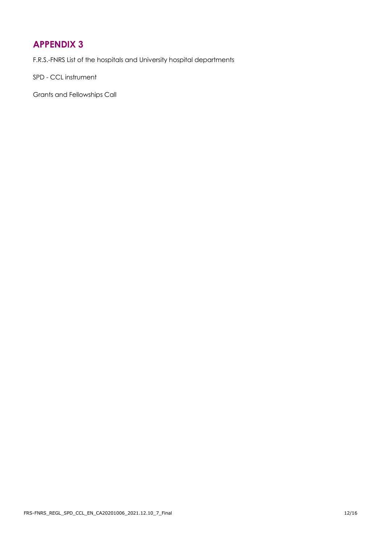## <span id="page-11-0"></span>**APPENDIX 3**

F.R.S.-FNRS List of the hospitals and University hospital departments

SPD - CCL instrument

Grants and Fellowships Call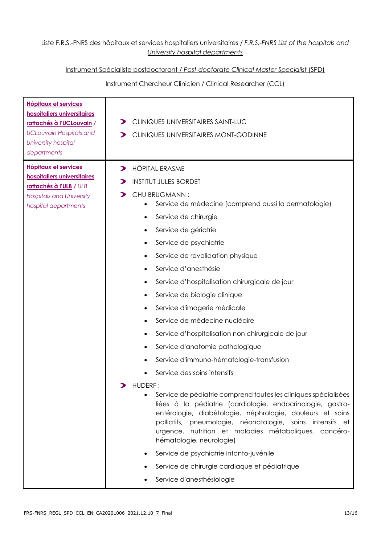#### Liste F.R.S.-FNRS des hôpitaux et services hospitaliers universitaires / *F.R.S.-FNRS List of the hospitals and University hospital departments*

#### Instrument Spécialiste postdoctorant / *Post-doctorate Clinical Master Specialist* (SPD)

#### Instrument Chercheur Clinicien / Clinical Researcher (CCL)

| <b>Hôpitaux et services</b><br>hospitaliers universitaires<br>rattachés à l'UCLouvain /<br><b>UCLouvain Hospitals and</b><br>University hospital<br>departments | CLINIQUES UNIVERSITAIRES SAINT-LUC<br>⋗<br>CLINIQUES UNIVERSITAIRES MONT-GODINNE<br>⋗                                                                                                                                                                                                                                                                                                                                                                                                                                                                                                                                                                                                                                                                                                                                                                                                                                                                                                                                                                                                                                                                                                           |
|-----------------------------------------------------------------------------------------------------------------------------------------------------------------|-------------------------------------------------------------------------------------------------------------------------------------------------------------------------------------------------------------------------------------------------------------------------------------------------------------------------------------------------------------------------------------------------------------------------------------------------------------------------------------------------------------------------------------------------------------------------------------------------------------------------------------------------------------------------------------------------------------------------------------------------------------------------------------------------------------------------------------------------------------------------------------------------------------------------------------------------------------------------------------------------------------------------------------------------------------------------------------------------------------------------------------------------------------------------------------------------|
| <b>Hôpitaux et services</b><br>hospitaliers universitaires<br>rattachés à l'ULB / ULB<br><b>Hospitals and University</b><br>hospital departments                | <b>HÔPITAL ERASME</b><br>$\blacktriangleright$<br><b>INSTITUT JULES BORDET</b><br>CHU BRUGMANN:<br>⋗<br>Service de médecine (comprend aussi la dermatologie)<br>Service de chirurgie<br>$\bullet$<br>Service de gériatrie<br>٠<br>Service de psychiatrie<br>$\bullet$<br>Service de revalidation physique<br>٠<br>Service d'anesthésie<br>٠<br>Service d'hospitalisation chirurgicale de jour<br>٠<br>Service de biologie clinique<br>٠<br>Service d'imagerie médicale<br>$\bullet$<br>Service de médecine nucléaire<br>Service d'hospitalisation non chirurgicale de jour<br>$\bullet$<br>Service d'anatomie pathologique<br>٠<br>Service d'immuno-hématologie-transfusion<br>Service des soins intensifs<br>HUDERF :<br>Service de pédiatrie comprend toutes les cliniques spécialisées<br>liées à la pédiatrie (cardiologie, endocrinologie, gastro-<br>entérologie, diabétologie, néphrologie, douleurs et soins<br>palliatifs, pneumologie, néonatalogie, soins intensifs et<br>urgence, nutrition et maladies métaboliques, cancéro-<br>hématologie, neurologie)<br>Service de psychiatrie infanto-juvénile<br>Service de chirurgie cardiaque et pédiatrique<br>Service d'anesthésiologie |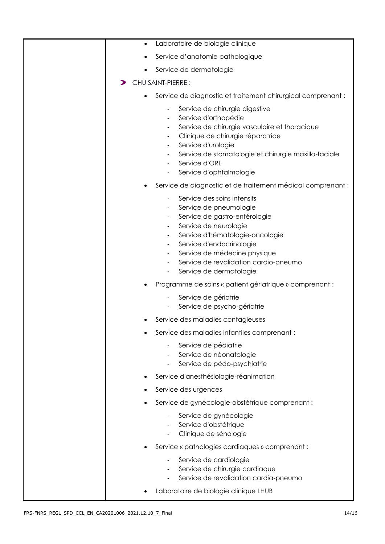| Laboratoire de biologie clinique<br>$\bullet$                                                                                                                                                                                                                                                                                                   |
|-------------------------------------------------------------------------------------------------------------------------------------------------------------------------------------------------------------------------------------------------------------------------------------------------------------------------------------------------|
| Service d'anatomie pathologique                                                                                                                                                                                                                                                                                                                 |
| Service de dermatologie                                                                                                                                                                                                                                                                                                                         |
| <b>CHU SAINT-PIERRE:</b>                                                                                                                                                                                                                                                                                                                        |
| Service de diagnostic et traitement chirurgical comprenant :<br>$\bullet$                                                                                                                                                                                                                                                                       |
| Service de chirurgie digestive<br>Service d'orthopédie<br>٠<br>Service de chirurgie vasculaire et thoracique<br>Clinique de chirurgie réparatrice<br>Service d'urologie<br>٠<br>Service de stomatologie et chirurgie maxillo-faciale<br>Service d'ORL<br>Service d'ophtalmologie<br>Service de diagnostic et de traitement médical comprenant : |
| Service des soins intensifs<br>Service de pneumologie<br>Service de gastro-entérologie<br>$\blacksquare$<br>Service de neurologie<br>Service d'hématologie-oncologie<br>$\blacksquare$<br>Service d'endocrinologie<br>۰.<br>Service de médecine physique<br>Service de revalidation cardio-pneumo<br>Service de dermatologie<br>$\blacksquare$  |
| Programme de soins « patient gériatrique » comprenant :                                                                                                                                                                                                                                                                                         |
| Service de gériatrie<br>Service de psycho-gériatrie                                                                                                                                                                                                                                                                                             |
| Service des maladies contagieuses                                                                                                                                                                                                                                                                                                               |
| Service des maladies infantiles comprenant :                                                                                                                                                                                                                                                                                                    |
| Service de pédiatrie<br>Service de néonatologie<br>Service de pédo-psychiatrie<br>$\blacksquare$                                                                                                                                                                                                                                                |
| Service d'anesthésiologie-réanimation                                                                                                                                                                                                                                                                                                           |
| Service des urgences                                                                                                                                                                                                                                                                                                                            |
| Service de gynécologie-obstétrique comprenant :                                                                                                                                                                                                                                                                                                 |
| Service de gynécologie<br>Service d'obstétrique<br>Clinique de sénologie                                                                                                                                                                                                                                                                        |
| Service « pathologies cardiaques » comprenant :                                                                                                                                                                                                                                                                                                 |
| Service de cardiologie<br>$\overline{\phantom{a}}$<br>Service de chirurgie cardiaque<br>Service de revalidation cardia-pneumo<br>Laboratoire de biologie clinique LHUB                                                                                                                                                                          |
|                                                                                                                                                                                                                                                                                                                                                 |